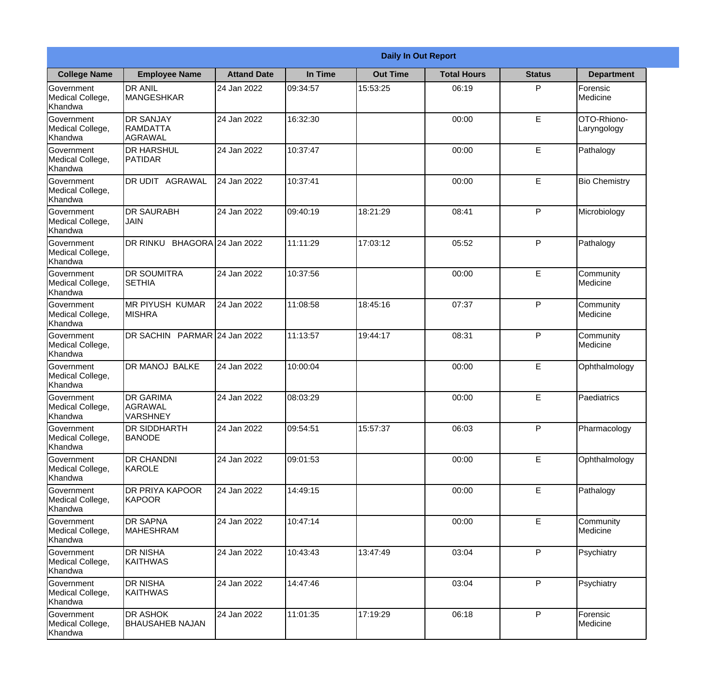|                                                  | <b>Daily In Out Report</b>                      |                    |          |                 |                    |               |                            |  |
|--------------------------------------------------|-------------------------------------------------|--------------------|----------|-----------------|--------------------|---------------|----------------------------|--|
| <b>College Name</b>                              | <b>Employee Name</b>                            | <b>Attand Date</b> | In Time  | <b>Out Time</b> | <b>Total Hours</b> | <b>Status</b> | <b>Department</b>          |  |
| Government<br>Medical College,<br>Khandwa        | <b>DR ANIL</b><br><b>MANGESHKAR</b>             | 24 Jan 2022        | 09:34:57 | 15:53:25        | 06:19              | P             | Forensic<br>Medicine       |  |
| Government<br>Medical College,<br>Khandwa        | <b>DR SANJAY</b><br>RAMDATTA<br>AGRAWAL         | 24 Jan 2022        | 16:32:30 |                 | 00:00              | E             | OTO-Rhiono-<br>Laryngology |  |
| Government<br>Medical College,<br>Khandwa        | <b>DR HARSHUL</b><br>PATIDAR                    | 24 Jan 2022        | 10:37:47 |                 | 00:00              | E             | Pathalogy                  |  |
| <b>Government</b><br>Medical College,<br>Khandwa | IDR UDIT<br><b>AGRAWAL</b>                      | 24 Jan 2022        | 10:37:41 |                 | 00:00              | E             | <b>Bio Chemistry</b>       |  |
| Government<br>Medical College,<br>Khandwa        | <b>DR SAURABH</b><br><b>JAIN</b>                | 24 Jan 2022        | 09:40:19 | 18:21:29        | 08:41              | P             | Microbiology               |  |
| Government<br>Medical College,<br>Khandwa        | DR RINKU BHAGORA 24 Jan 2022                    |                    | 11:11:29 | 17:03:12        | 05:52              | P             | Pathalogy                  |  |
| Government<br>Medical College,<br>Khandwa        | <b>DR SOUMITRA</b><br><b>SETHIA</b>             | 24 Jan 2022        | 10:37:56 |                 | 00:00              | E             | Community<br>Medicine      |  |
| Government<br>Medical College,<br>Khandwa        | MR PIYUSH KUMAR<br><b>MISHRA</b>                | 24 Jan 2022        | 11:08:58 | 18:45:16        | 07:37              | P             | Community<br>Medicine      |  |
| Government<br>Medical College,<br>Khandwa        | DR SACHIN PARMAR 24 Jan 2022                    |                    | 11:13:57 | 19:44:17        | 08:31              | P             | Community<br>Medicine      |  |
| Government<br>Medical College,<br>Khandwa        | <b>DR MANOJ BALKE</b>                           | 24 Jan 2022        | 10:00:04 |                 | 00:00              | E             | Ophthalmology              |  |
| Government<br>Medical College,<br>Khandwa        | <b>DR GARIMA</b><br>lagrawal<br><b>VARSHNEY</b> | 24 Jan 2022        | 08:03:29 |                 | 00:00              | E             | Paediatrics                |  |
| Government<br>Medical College,<br>Khandwa        | <b>DR SIDDHARTH</b><br><b>BANODE</b>            | 24 Jan 2022        | 09:54:51 | 15:57:37        | 06:03              | P             | Pharmacology               |  |
| Government<br>Medical College,<br>Khandwa        | <b>DR CHANDNI</b><br>KAROLE                     | 24 Jan 2022        | 09:01:53 |                 | 00:00              | E             | Ophthalmology              |  |
| Government<br>Medical College,<br>Khandwa        | <b>DR PRIYA KAPOOR</b><br>KAPOOR                | 24 Jan 2022        | 14:49:15 |                 | 00:00              | $\mathsf E$   | Pathalogy                  |  |
| <b>Government</b><br>Medical College,<br>Khandwa | <b>DR SAPNA</b><br><b>MAHESHRAM</b>             | 24 Jan 2022        | 10:47:14 |                 | 00:00              | $\mathsf E$   | Community<br>Medicine      |  |
| Government<br>Medical College,<br>Khandwa        | <b>DR NISHA</b><br>KAITHWAS                     | 24 Jan 2022        | 10:43:43 | 13:47:49        | 03:04              | P             | Psychiatry                 |  |
| Government<br>Medical College,<br>Khandwa        | <b>DR NISHA</b><br><b>KAITHWAS</b>              | 24 Jan 2022        | 14:47:46 |                 | 03:04              | P             | Psychiatry                 |  |
| Government<br>Medical College,<br>Khandwa        | <b>DR ASHOK</b><br><b>BHAUSAHEB NAJAN</b>       | 24 Jan 2022        | 11:01:35 | 17:19:29        | 06:18              | P             | Forensic<br>Medicine       |  |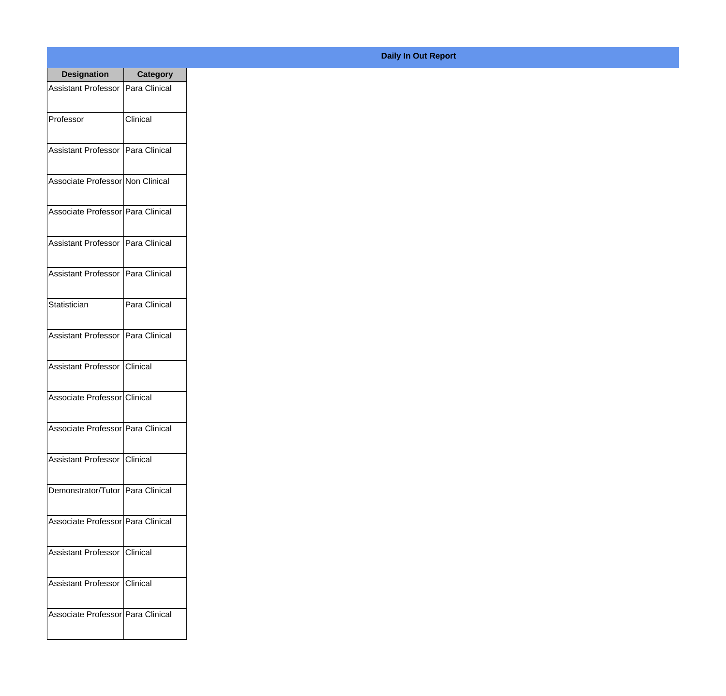| <b>Designation</b>                  | <b>Category</b> |
|-------------------------------------|-----------------|
| Assistant Professor   Para Clinical |                 |
| Professor                           | Clinical        |
| Assistant Professor   Para Clinical |                 |
| Associate Professor Non Clinical    |                 |
| Associate Professor   Para Clinical |                 |
| Assistant Professor   Para Clinical |                 |
| Assistant Professor   Para Clinical |                 |
| Statistician                        | Para Clinical   |
| Assistant Professor   Para Clinical |                 |
| Assistant Professor   Clinical      |                 |
| Associate Professor Clinical        |                 |
| Associate Professor   Para Clinical |                 |
| Assistant Professor   Clinical      |                 |
| Demonstrator/Tutor   Para Clinical  |                 |
| Associate Professor Para Clinical   |                 |
| <b>Assistant Professor</b>          | Clinical        |
| <b>Assistant Professor</b>          | Clinical        |
| Associate Professor Para Clinical   |                 |

## **Daily In Out Report**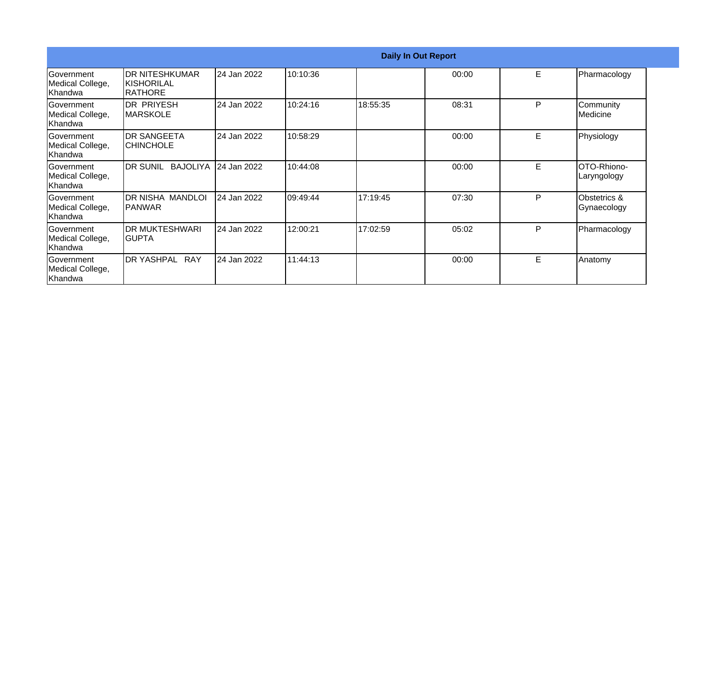|                                                   |                                                   |             |           | <b>Daily In Out Report</b> |       |   |                                        |
|---------------------------------------------------|---------------------------------------------------|-------------|-----------|----------------------------|-------|---|----------------------------------------|
| <b>Government</b><br>Medical College,<br>Khandwa  | IDR NITESHKUMAR<br>IKISHORILAL<br><b>IRATHORE</b> | 24 Jan 2022 | 10:10:36  |                            | 00:00 | E | Pharmacology                           |
| <b>IGovernment</b><br>Medical College,<br>Khandwa | <b>DR PRIYESH</b><br>IMARSKOLE                    | 24 Jan 2022 | 10:24:16  | 18:55:35                   | 08:31 | P | Community<br>Medicine                  |
| Government<br>Medical College,<br>Khandwa         | IDR SANGEETA<br><b>CHINCHOLE</b>                  | 24 Jan 2022 | 10:58:29  |                            | 00:00 | E | Physiology                             |
| Government<br>Medical College,<br>Khandwa         | <b>IDR SUNIL BAJOLIYA</b>                         | 24 Jan 2022 | 10:44:08  |                            | 00:00 | E | OTO-Rhiono-<br>Laryngology             |
| <b>Government</b><br>Medical College,<br>Khandwa  | DR NISHA MANDLOI<br>IPANWAR                       | 24 Jan 2022 | 109:49:44 | 17:19:45                   | 07:30 | P | <b>Obstetrics &amp;</b><br>Gynaecology |
| <b>IGovernment</b><br>Medical College,<br>Khandwa | IDR MUKTESHWARI<br>IGUPTA                         | 24 Jan 2022 | 12:00:21  | 17:02:59                   | 05:02 | P | Pharmacology                           |
| <b>Sovernment</b><br>Medical College,<br>Khandwa  | DR YASHPAL RAY                                    | 24 Jan 2022 | 11:44:13  |                            | 00:00 | E | Anatomy                                |